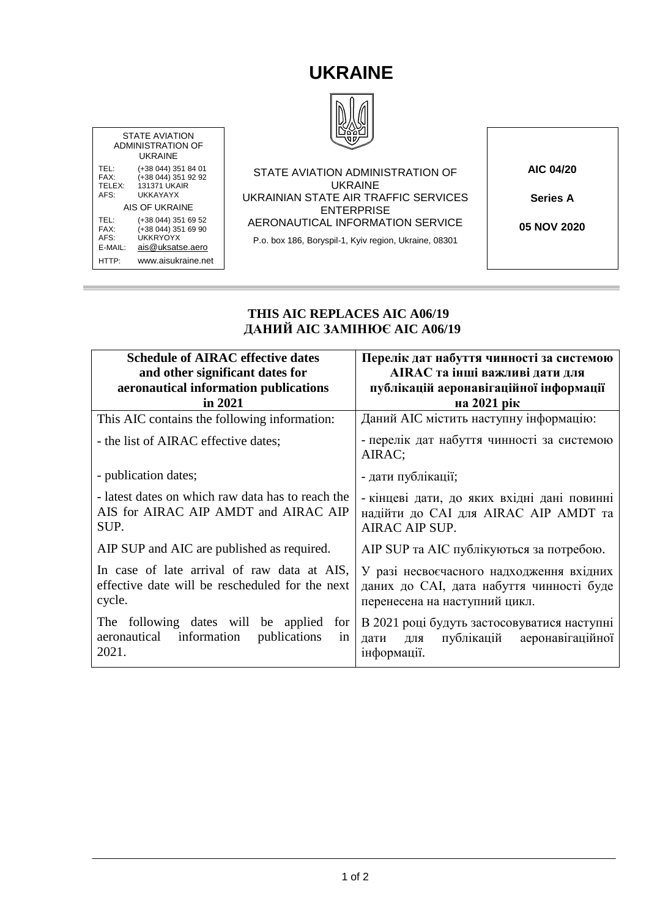## **UKRAINE**



ADMINISTRATION OF TEL: (+38 044) 351 84 01<br>FAX: (+38 044) 351 92 92<br>TELEX: 131371 UKAIR FAX: (+38 044) 351 92 92 TELEX: 131371 UKAIR AIS OF UKRAINE TEL: (+38 044) 351 69 52<br>FAX: (+38 044) 351 69 90 FAX:  $(+38044)3516990$ <br>AFS: UKKRYOYX [ais@uksatse.aero](mailto:ais@uksatse.aero) STATE AVIATION ADMINISTRATION OF UKRAINE UKRAINIAN STATE AIR TRAFFIC SERVICES ENTERPRISE AERONAUTICAL INFORMATION SERVICE P.o. box 186, Boryspil-1, Kyiv region, Ukraine, 08301

STATE AVIATION

UKRAINE

AFS: UKKAYAYX

AFS: UKKRYOYX<br>E-MAIL: ais@uksats

HTTP: www.aisukraine.net

**AIC 04/20**

**Series A**

**05 NOV 2020**

## **THIS AIC REPLACES AIC A06/19 ДАНИЙ AIC ЗАМІНЮЄ AIC A06/19**

| <b>Schedule of AIRAC effective dates</b>                                                                 | Перелік дат набуття чинності за системою                                                                              |  |
|----------------------------------------------------------------------------------------------------------|-----------------------------------------------------------------------------------------------------------------------|--|
| and other significant dates for                                                                          | AIRAC та інші важливі дати для                                                                                        |  |
| aeronautical information publications                                                                    | публікацій аеронавігаційної інформації                                                                                |  |
| in 2021                                                                                                  | на 2021 рік                                                                                                           |  |
| This AIC contains the following information:                                                             | Даний АІС містить наступну інформацію:                                                                                |  |
| - the list of AIRAC effective dates;                                                                     | - перелік дат набуття чинності за системою<br>AIRAC;                                                                  |  |
| - publication dates;                                                                                     | - дати публікації;                                                                                                    |  |
| - latest dates on which raw data has to reach the<br>AIS for AIRAC AIP AMDT and AIRAC AIP<br>SUP.        | - кінцеві дати, до яких вхідні дані повинні<br>надійти до САІ для AIRAC AIP AMDT та<br>AIRAC AIP SUP.                 |  |
| AIP SUP and AIC are published as required.                                                               | AIP SUP та AIC публікуються за потребою.                                                                              |  |
| In case of late arrival of raw data at AIS,<br>effective date will be rescheduled for the next<br>cycle. | У разі несвоєчасного надходження вхідних<br>даних до САІ, дата набуття чинності буде<br>перенесена на наступний цикл. |  |
| The following dates will be applied<br>for<br>information<br>aeronautical<br>publications<br>in<br>2021. | В 2021 році будуть застосовуватися наступні<br>публікацій аеронавігаційної<br>ДЛЯ<br>дати<br>інформації.              |  |